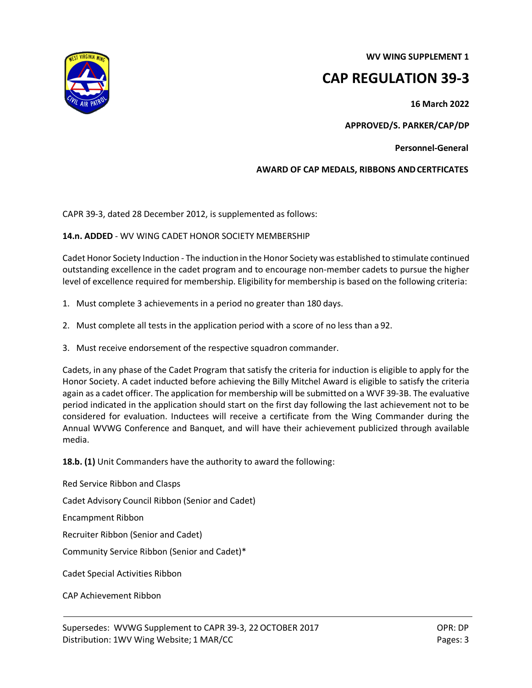**WV WING SUPPLEMENT 1**

# **CAP REGULATION 39-3**

**16 March 2022**

**APPROVED/S. PARKER/CAP/DP**

**Personnel-General** 

## **AWARD OF CAP MEDALS, RIBBONS ANDCERTFICATES**

CAPR 39-3, dated 28 December 2012, is supplemented as follows:

## **14.n. ADDED** - WV WING CADET HONOR SOCIETY MEMBERSHIP

Cadet Honor Society Induction - The induction in the Honor Society was established to stimulate continued outstanding excellence in the cadet program and to encourage non-member cadets to pursue the higher level of excellence required for membership. Eligibility for membership is based on the following criteria:

- 1. Must complete 3 achievements in a period no greater than 180 days.
- 2. Must complete all tests in the application period with a score of no less than a 92.
- 3. Must receive endorsement of the respective squadron commander.

Cadets, in any phase of the Cadet Program that satisfy the criteria for induction is eligible to apply for the Honor Society. A cadet inducted before achieving the Billy Mitchel Award is eligible to satisfy the criteria again as a cadet officer. The application for membership will be submitted on a WVF 39-3B. The evaluative period indicated in the application should start on the first day following the last achievement not to be considered for evaluation. Inductees will receive a certificate from the Wing Commander during the Annual WVWG Conference and Banquet, and will have their achievement publicized through available media.

**18.b. (1)** Unit Commanders have the authority to award the following:

Red Service Ribbon and Clasps Cadet Advisory Council Ribbon (Senior and Cadet) Encampment Ribbon Recruiter Ribbon (Senior and Cadet) Community Service Ribbon (Senior and Cadet)\* Cadet Special Activities Ribbon

CAP Achievement Ribbon



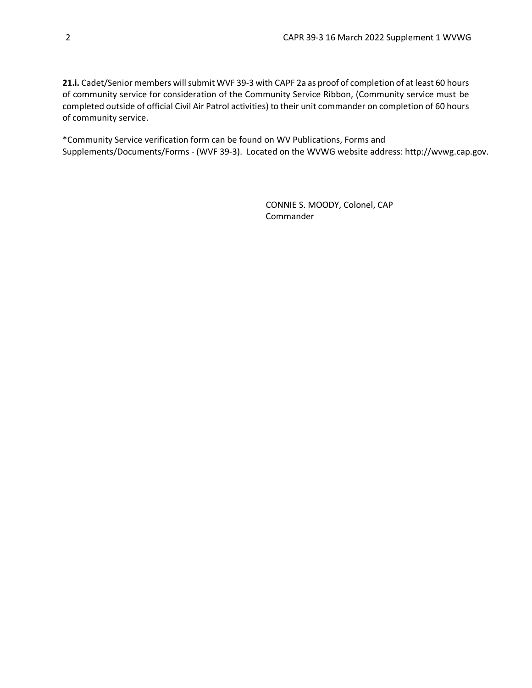**21.i.** Cadet/Senior members will submit WVF 39-3 with CAPF 2a as proof of completion of at least 60 hours of community service for consideration of the Community Service Ribbon, (Community service must be completed outside of official Civil Air Patrol activities) to their unit commander on completion of 60 hours of community service.

\*Community Service verification form can be found on WV Publications, Forms and Supplements/Documents/Forms - (WVF 39-3). Located on the WVWG website address: http://wvwg.cap.gov.

> CONNIE S. MOODY, Colonel, CAP Commander